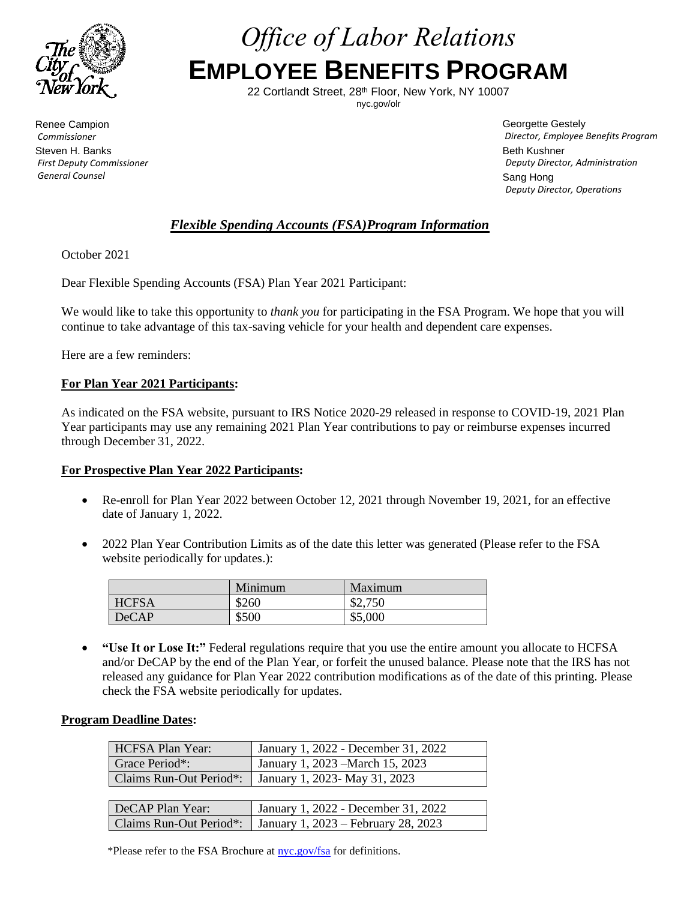

*Office of Labor Relations* **EMPLOYEE BENEFITS PROGRAM**

> 22 Cortlandt Street, 28th Floor, New York, NY 10007 nyc.gov/olr

Renee Campion *Commissioner* Steven H. Banks *First Deputy Commissioner General Counsel*

Georgette Gestely *Director, Employee Benefits Program* Beth Kushner *Deputy Director, Administration* Sang Hong *Deputy Director, Operations*

# *Flexible Spending Accounts (FSA)Program Information*

October 2021

Dear Flexible Spending Accounts (FSA) Plan Year 2021 Participant:

We would like to take this opportunity to *thank you* for participating in the FSA Program. We hope that you will continue to take advantage of this tax-saving vehicle for your health and dependent care expenses.

Here are a few reminders:

### **For Plan Year 2021 Participants:**

As indicated on the FSA website, pursuant to IRS Notice 2020-29 released in response to COVID-19, 2021 Plan Year participants may use any remaining 2021 Plan Year contributions to pay or reimburse expenses incurred through December 31, 2022.

### **For Prospective Plan Year 2022 Participants:**

- Re-enroll for Plan Year 2022 between October 12, 2021 through November 19, 2021, for an effective date of January 1, 2022.
- 2022 Plan Year Contribution Limits as of the date this letter was generated (Please refer to the FSA website periodically for updates.):

|              | Minimum | Maximum |
|--------------|---------|---------|
| <b>HCFSA</b> | \$260   | \$2,750 |
| DeCAP        | \$500   | \$5,000 |

• **"Use It or Lose It:"** Federal regulations require that you use the entire amount you allocate to HCFSA and/or DeCAP by the end of the Plan Year, or forfeit the unused balance. Please note that the IRS has not released any guidance for Plan Year 2022 contribution modifications as of the date of this printing. Please check the FSA website periodically for updates.

### **Program Deadline Dates:**

| HCFSA Plan Year: | January 1, 2022 - December 31, 2022                     |
|------------------|---------------------------------------------------------|
| Grace Period*:   | January 1, 2023 – March 15, 2023                        |
|                  | Claims Run-Out Period*:   January 1, 2023- May 31, 2023 |

| DeCAP Plan Year: | January 1, 2022 - December 31, 2022                           |
|------------------|---------------------------------------------------------------|
|                  | Claims Run-Out Period*:   January 1, 2023 – February 28, 2023 |

\*Please refer to the FSA Brochure at [nyc.gov/fsa](http://www.nyc.gov/fsa) for definitions.